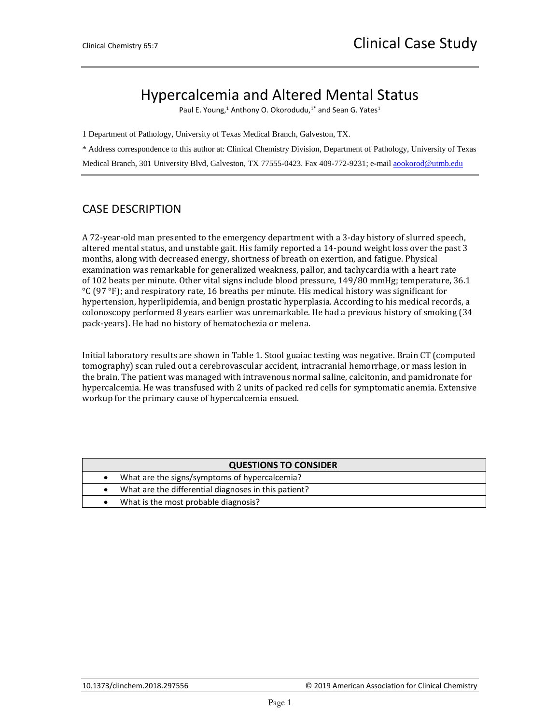## Hypercalcemia and Altered Mental Status

Paul E. Young,<sup>1</sup> Anthony O. Okorodudu,<sup>1\*</sup> and Sean G. Yates<sup>1</sup>

1 Department of Pathology, University of Texas Medical Branch, Galveston, TX.

\* Address correspondence to this author at: Clinical Chemistry Division, Department of Pathology, University of Texas

Medical Branch, 301 University Blvd, Galveston, TX 77555-0423. Fax 409-772-9231; e-mail [aookorod@utmb.edu](mailto:aookorod@utmb.edu)

## CASE DESCRIPTION

A 72-year-old man presented to the emergency department with a 3-day history of slurred speech, altered mental status, and unstable gait. His family reported a 14-pound weight loss over the past 3 months, along with decreased energy, shortness of breath on exertion, and fatigue. Physical examination was remarkable for generalized weakness, pallor, and tachycardia with a heart rate of 102 beats per minute. Other vital signs include blood pressure, 149/80 mmHg; temperature, 36.1 °C (97 °F); and respiratory rate, 16 breaths per minute. His medical history was significant for hypertension, hyperlipidemia, and benign prostatic hyperplasia. According to his medical records, a colonoscopy performed 8 years earlier was unremarkable. He had a previous history of smoking (34 pack-years). He had no history of hematochezia or melena.

Initial laboratory results are shown in Table 1. Stool guaiac testing was negative. Brain CT (computed tomography) scan ruled out a cerebrovascular accident, intracranial hemorrhage, or mass lesion in the brain. The patient was managed with intravenous normal saline, calcitonin, and pamidronate for hypercalcemia. He was transfused with 2 units of packed red cells for symptomatic anemia. Extensive workup for the primary cause of hypercalcemia ensued.

| <b>QUESTIONS TO CONSIDER</b> |                                                      |  |  |  |
|------------------------------|------------------------------------------------------|--|--|--|
|                              | What are the signs/symptoms of hypercalcemia?        |  |  |  |
|                              | What are the differential diagnoses in this patient? |  |  |  |
|                              | What is the most probable diagnosis?                 |  |  |  |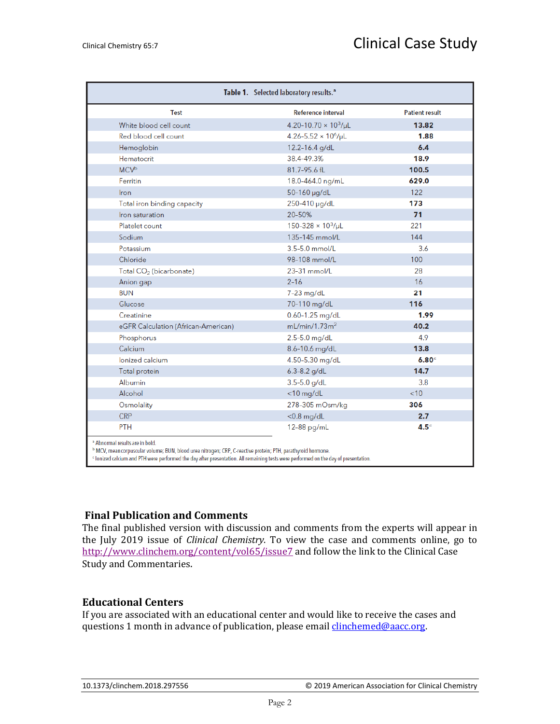| <b>Test</b>                         | Reference interval                      | <b>Patient result</b> |
|-------------------------------------|-----------------------------------------|-----------------------|
| White blood cell count              | 4.20-10.70 $\times$ 10 <sup>3</sup> /µL | 13.82                 |
| Red blood cell count                | 4.26-5.52 $\times$ 10 <sup>6</sup> /µL  | 1.88                  |
| Hemoglobin                          | 12.2-16.4 g/dL                          | 6.4                   |
| Hematocrit                          | 38.4-49.3%                              | 18.9                  |
| <b>MCV<sup>b</sup></b>              | 81.7-95.6 fL                            | 100.5                 |
| Ferritin                            | 18.0-464.0 ng/mL                        | 629.0                 |
| Iron                                | 50-160 µg/dL                            | 122                   |
| Total iron binding capacity         | 250-410 µg/dL                           | 173                   |
| Iron saturation                     | 20-50%                                  | 71                    |
| Platelet count                      | $150 - 328 \times 10^3/\mu L$           | 221                   |
| Sodium                              | 135-145 mmol/L                          | 144                   |
| Potassium                           | $3.5 - 5.0$ mmol/L                      | 3.6                   |
| Chloride                            | 98-108 mmol/L                           | 100                   |
| Total CO <sub>2</sub> (bicarbonate) | $23-31$ mmol/L                          | 28                    |
| Anion gap                           | $2 - 16$                                | 16                    |
| <b>BUN</b>                          | 7-23 mg/dL                              | 21                    |
| Glucose                             | 70-110 mg/dL                            | 116                   |
| Creatinine                          | 0.60-1.25 mg/dL                         | 1.99                  |
| eGFR Calculation (African-American) | mL/min/1.73m <sup>2</sup>               | 40.2                  |
| Phosphorus                          | 2.5-5.0 mg/dL                           | 4.9                   |
| Calcium                             | 8.6-10.6 mg/dL                          | 13.8                  |
| lonized calcium                     | 4.50-5.30 mg/dL                         | 6.80 <sup>c</sup>     |
| Total protein                       | $6.3 - 8.2$ g/dL                        | 14.7                  |
| Albumin                             | $3.5 - 5.0$ g/dL                        | 3.8                   |
| Alcohol                             | $<$ 10 mg/dL                            | < 10                  |
| Osmolality                          | 278-305 mOsm/kg                         | 306                   |
| <b>CRP</b>                          | $<$ 0.8 mg/dL                           | 2.7                   |
| <b>PTH</b>                          | 12-88 pg/mL                             | 4.5 <sup>c</sup>      |

## **Final Publication and Comments**

The final published version with discussion and comments from the experts will appear in the July 2019 issue of *Clinical Chemistry*. To view the case and comments online, go to <http://www.clinchem.org/content/vol65/issue7> and follow the link to the Clinical Case Study and Commentaries.

## **Educational Centers**

If you are associated with an educational center and would like to receive the cases and questions 1 month in advance of publication, please email *clinchemed@aacc.org*.